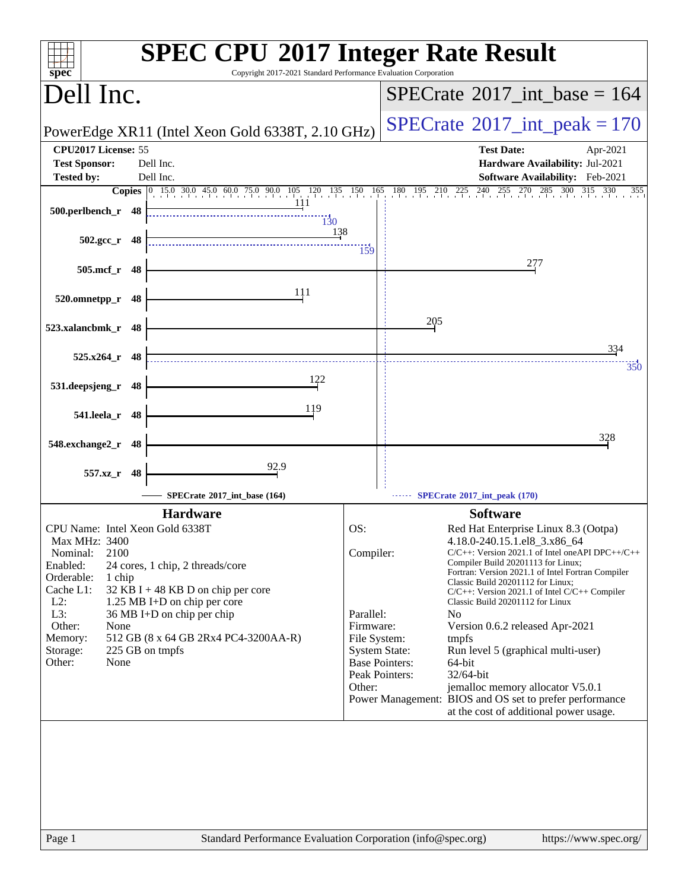| spec <sup>®</sup>                                                                                                                                                                                                                                                                                                                                                                                           | <b>SPEC CPU®2017 Integer Rate Result</b><br>Copyright 2017-2021 Standard Performance Evaluation Corporation                                                                                                                                                                                                                                                                                                                                                                                                                                                                                                                                                                                                                                                        |
|-------------------------------------------------------------------------------------------------------------------------------------------------------------------------------------------------------------------------------------------------------------------------------------------------------------------------------------------------------------------------------------------------------------|--------------------------------------------------------------------------------------------------------------------------------------------------------------------------------------------------------------------------------------------------------------------------------------------------------------------------------------------------------------------------------------------------------------------------------------------------------------------------------------------------------------------------------------------------------------------------------------------------------------------------------------------------------------------------------------------------------------------------------------------------------------------|
| Dell Inc.                                                                                                                                                                                                                                                                                                                                                                                                   | $SPECrate^{\circledast}2017\_int\_base = 164$                                                                                                                                                                                                                                                                                                                                                                                                                                                                                                                                                                                                                                                                                                                      |
| PowerEdge XR11 (Intel Xeon Gold 6338T, 2.10 GHz)                                                                                                                                                                                                                                                                                                                                                            | $SPECrate^{\circ}2017\_int\_peak = 170$                                                                                                                                                                                                                                                                                                                                                                                                                                                                                                                                                                                                                                                                                                                            |
| CPU2017 License: 55<br><b>Test Sponsor:</b><br>Dell Inc.<br>Dell Inc.<br><b>Tested by:</b>                                                                                                                                                                                                                                                                                                                  | <b>Test Date:</b><br>Apr-2021<br>Hardware Availability: Jul-2021<br>Software Availability: Feb-2021                                                                                                                                                                                                                                                                                                                                                                                                                                                                                                                                                                                                                                                                |
|                                                                                                                                                                                                                                                                                                                                                                                                             | <b>Copies</b> 0 15.0 30.0 45.0 60.0 75.0 90.0 105 120 135 150 165 180 195 210 225 240 255 270 285 300 315 330<br>355                                                                                                                                                                                                                                                                                                                                                                                                                                                                                                                                                                                                                                               |
| 111<br>500.perlbench_r 48<br>$\overline{130}$                                                                                                                                                                                                                                                                                                                                                               |                                                                                                                                                                                                                                                                                                                                                                                                                                                                                                                                                                                                                                                                                                                                                                    |
| $502.\text{gcc r}$ 48                                                                                                                                                                                                                                                                                                                                                                                       | <u>138</u><br>159                                                                                                                                                                                                                                                                                                                                                                                                                                                                                                                                                                                                                                                                                                                                                  |
| 505.mcf_r 48                                                                                                                                                                                                                                                                                                                                                                                                | 277                                                                                                                                                                                                                                                                                                                                                                                                                                                                                                                                                                                                                                                                                                                                                                |
| 111<br>520.omnetpp_r<br>48                                                                                                                                                                                                                                                                                                                                                                                  |                                                                                                                                                                                                                                                                                                                                                                                                                                                                                                                                                                                                                                                                                                                                                                    |
| 523.xalancbmk_r 48                                                                                                                                                                                                                                                                                                                                                                                          | 205                                                                                                                                                                                                                                                                                                                                                                                                                                                                                                                                                                                                                                                                                                                                                                |
| $525.x264$ r 48                                                                                                                                                                                                                                                                                                                                                                                             | 334<br>350                                                                                                                                                                                                                                                                                                                                                                                                                                                                                                                                                                                                                                                                                                                                                         |
| 122<br>531.deepsjeng_r 48                                                                                                                                                                                                                                                                                                                                                                                   |                                                                                                                                                                                                                                                                                                                                                                                                                                                                                                                                                                                                                                                                                                                                                                    |
| 119<br>541.leela_r 48                                                                                                                                                                                                                                                                                                                                                                                       |                                                                                                                                                                                                                                                                                                                                                                                                                                                                                                                                                                                                                                                                                                                                                                    |
| 548.exchange2_r<br>48                                                                                                                                                                                                                                                                                                                                                                                       | 328                                                                                                                                                                                                                                                                                                                                                                                                                                                                                                                                                                                                                                                                                                                                                                |
| 92.9<br>557.xz_r<br>48                                                                                                                                                                                                                                                                                                                                                                                      |                                                                                                                                                                                                                                                                                                                                                                                                                                                                                                                                                                                                                                                                                                                                                                    |
| SPECrate®2017_int_base (164)                                                                                                                                                                                                                                                                                                                                                                                | SPECrate*2017_int_peak (170)                                                                                                                                                                                                                                                                                                                                                                                                                                                                                                                                                                                                                                                                                                                                       |
| <b>Hardware</b>                                                                                                                                                                                                                                                                                                                                                                                             | <b>Software</b>                                                                                                                                                                                                                                                                                                                                                                                                                                                                                                                                                                                                                                                                                                                                                    |
| CPU Name: Intel Xeon Gold 6338T<br><b>Max MHz: 3400</b><br>2100<br>Nominal:<br>Enabled:<br>24 cores, 1 chip, 2 threads/core<br>Orderable:<br>1 chip<br>Cache L1:<br>32 KB I + 48 KB D on chip per core<br>$L2$ :<br>1.25 MB I+D on chip per core<br>36 MB I+D on chip per chip<br>L3:<br>Other:<br>None<br>512 GB (8 x 64 GB 2Rx4 PC4-3200AA-R)<br>Memory:<br>225 GB on tmpfs<br>Storage:<br>Other:<br>None | OS:<br>Red Hat Enterprise Linux 8.3 (Ootpa)<br>4.18.0-240.15.1.el8_3.x86_64<br>Compiler:<br>$C/C++$ : Version 2021.1 of Intel one API DPC $++/C++$<br>Compiler Build 20201113 for Linux;<br>Fortran: Version 2021.1 of Intel Fortran Compiler<br>Classic Build 20201112 for Linux;<br>C/C++: Version 2021.1 of Intel C/C++ Compiler<br>Classic Build 20201112 for Linux<br>Parallel:<br>N <sub>0</sub><br>Firmware:<br>Version 0.6.2 released Apr-2021<br>File System:<br>tmpfs<br><b>System State:</b><br>Run level 5 (graphical multi-user)<br><b>Base Pointers:</b><br>64-bit<br>Peak Pointers:<br>32/64-bit<br>Other:<br>jemalloc memory allocator V5.0.1<br>Power Management: BIOS and OS set to prefer performance<br>at the cost of additional power usage. |
| Page 1                                                                                                                                                                                                                                                                                                                                                                                                      | Standard Performance Evaluation Corporation (info@spec.org)<br>https://www.spec.org/                                                                                                                                                                                                                                                                                                                                                                                                                                                                                                                                                                                                                                                                               |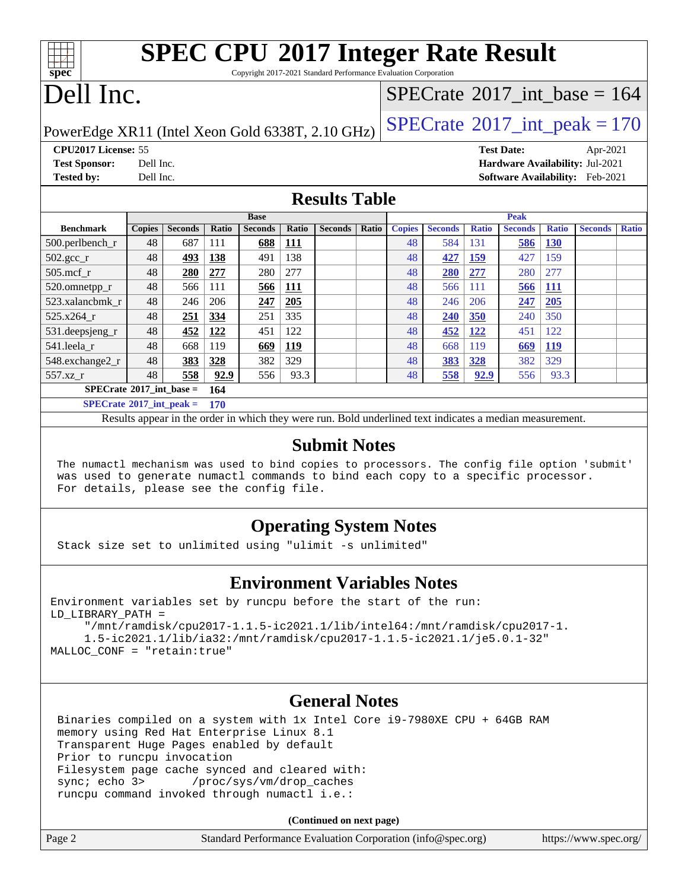| <b>SPEC CPU®2017 Integer Rate Result</b>                        |  |
|-----------------------------------------------------------------|--|
| Convright 2017-2021 Standard Performance Evaluation Cornoration |  |

Copyright 2017-2021 Standard Performance Evaluation Corporation

# Dell Inc.

**[spec](http://www.spec.org/)**

### $SPECTate$ <sup>®</sup>[2017\\_int\\_base =](http://www.spec.org/auto/cpu2017/Docs/result-fields.html#SPECrate2017intbase) 164

PowerEdge XR11 (Intel Xeon Gold 6338T, 2.10 GHz)  $\left|$  [SPECrate](http://www.spec.org/auto/cpu2017/Docs/result-fields.html#SPECrate2017intpeak)<sup>®</sup>[2017\\_int\\_peak = 1](http://www.spec.org/auto/cpu2017/Docs/result-fields.html#SPECrate2017intpeak)70

**[CPU2017 License:](http://www.spec.org/auto/cpu2017/Docs/result-fields.html#CPU2017License)** 55 **[Test Date:](http://www.spec.org/auto/cpu2017/Docs/result-fields.html#TestDate)** Apr-2021

**[Test Sponsor:](http://www.spec.org/auto/cpu2017/Docs/result-fields.html#TestSponsor)** Dell Inc. **[Hardware Availability:](http://www.spec.org/auto/cpu2017/Docs/result-fields.html#HardwareAvailability)** Jul-2021 **[Tested by:](http://www.spec.org/auto/cpu2017/Docs/result-fields.html#Testedby)** Dell Inc. **[Software Availability:](http://www.spec.org/auto/cpu2017/Docs/result-fields.html#SoftwareAvailability)** Feb-2021

### **[Results Table](http://www.spec.org/auto/cpu2017/Docs/result-fields.html#ResultsTable)**

|                                   | <b>Base</b>   |                |       |                | <b>Peak</b> |                |       |               |                |              |                |              |                |              |
|-----------------------------------|---------------|----------------|-------|----------------|-------------|----------------|-------|---------------|----------------|--------------|----------------|--------------|----------------|--------------|
| <b>Benchmark</b>                  | <b>Copies</b> | <b>Seconds</b> | Ratio | <b>Seconds</b> | Ratio       | <b>Seconds</b> | Ratio | <b>Copies</b> | <b>Seconds</b> | <b>Ratio</b> | <b>Seconds</b> | <b>Ratio</b> | <b>Seconds</b> | <b>Ratio</b> |
| $500.$ perlbench_r                | 48            | 687            | 111   | 688            | <b>111</b>  |                |       | 48            | 584            | 131          | 586            | 130          |                |              |
| $502.\text{sec}$                  | 48            | 493            | 138   | 491            | 138         |                |       | 48            | 427            | <u>159</u>   | 427            | 159          |                |              |
| $505$ .mcf r                      | 48            | 280            | 277   | 280            | 277         |                |       | 48            | <b>280</b>     | 277          | 280            | 277          |                |              |
| 520.omnetpp_r                     | 48            | 566            | 111   | <u>566</u>     | <u>111</u>  |                |       | 48            | 566            | 111          | 566            | <b>111</b>   |                |              |
| 523.xalancbmk r                   | 48            | 246            | 206   | 247            | 205         |                |       | 48            | 246            | 206          | 247            | 205          |                |              |
| 525.x264 r                        | 48            | 251            | 334   | 251            | 335         |                |       | 48            | 240            | 350          | 240            | 350          |                |              |
| 531.deepsjeng_r                   | 48            | 452            | 122   | 451            | 122         |                |       | 48            | 452            | <u>122</u>   | 451            | 122          |                |              |
| 541.leela r                       | 48            | 668            | 119   | 669            | <u>119</u>  |                |       | 48            | 668            | 119          | 669            | <u>119</u>   |                |              |
| 548.exchange2_r                   | 48            | 383            | 328   | 382            | 329         |                |       | 48            | 383            | <b>328</b>   | 382            | 329          |                |              |
| 557.xz                            | 48            | 558            | 92.9  | 556            | 93.3        |                |       | 48            | 558            | 92.9         | 556            | 93.3         |                |              |
| $SPECrate^{\circ}2017$ int base = |               | 164            |       |                |             |                |       |               |                |              |                |              |                |              |
| $SPECrate^{\circ}2017$ int peak = |               |                | 170   |                |             |                |       |               |                |              |                |              |                |              |

Results appear in the [order in which they were run.](http://www.spec.org/auto/cpu2017/Docs/result-fields.html#RunOrder) Bold underlined text [indicates a median measurement.](http://www.spec.org/auto/cpu2017/Docs/result-fields.html#Median)

### **[Submit Notes](http://www.spec.org/auto/cpu2017/Docs/result-fields.html#SubmitNotes)**

 The numactl mechanism was used to bind copies to processors. The config file option 'submit' was used to generate numactl commands to bind each copy to a specific processor. For details, please see the config file.

### **[Operating System Notes](http://www.spec.org/auto/cpu2017/Docs/result-fields.html#OperatingSystemNotes)**

Stack size set to unlimited using "ulimit -s unlimited"

### **[Environment Variables Notes](http://www.spec.org/auto/cpu2017/Docs/result-fields.html#EnvironmentVariablesNotes)**

```
Environment variables set by runcpu before the start of the run:
LD_LIBRARY_PATH =
      "/mnt/ramdisk/cpu2017-1.1.5-ic2021.1/lib/intel64:/mnt/ramdisk/cpu2017-1.
      1.5-ic2021.1/lib/ia32:/mnt/ramdisk/cpu2017-1.1.5-ic2021.1/je5.0.1-32"
MALLOC_CONF = "retain:true"
```
### **[General Notes](http://www.spec.org/auto/cpu2017/Docs/result-fields.html#GeneralNotes)**

 Binaries compiled on a system with 1x Intel Core i9-7980XE CPU + 64GB RAM memory using Red Hat Enterprise Linux 8.1 Transparent Huge Pages enabled by default Prior to runcpu invocation Filesystem page cache synced and cleared with: sync; echo 3> /proc/sys/vm/drop\_caches runcpu command invoked through numactl i.e.:

**(Continued on next page)**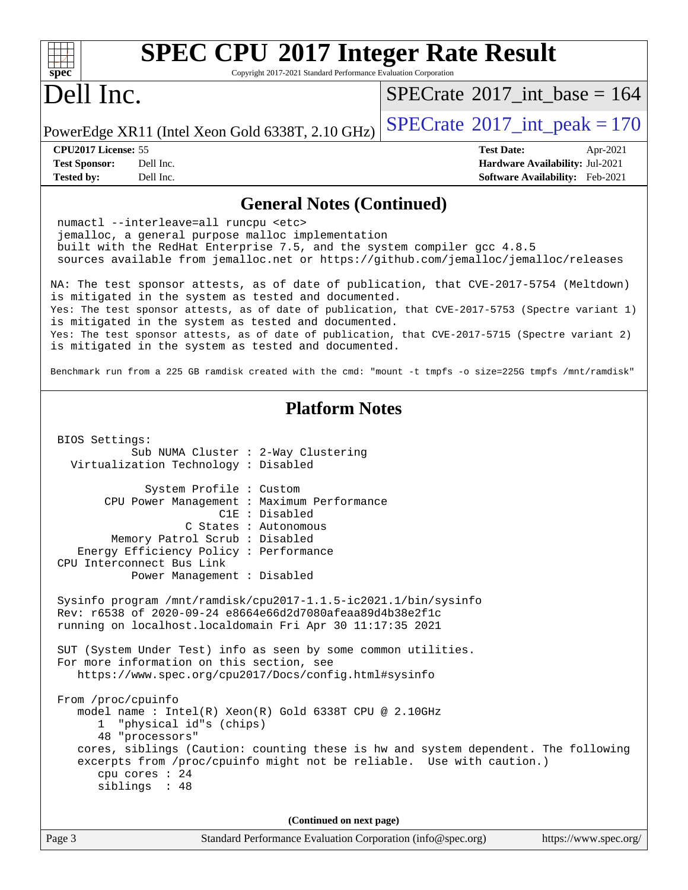| spec                                                             | <b>SPEC CPU®2017 Integer Rate Result</b><br>Copyright 2017-2021 Standard Performance Evaluation Corporation                                                                                                                 |                                                                                                                                                                                                      |
|------------------------------------------------------------------|-----------------------------------------------------------------------------------------------------------------------------------------------------------------------------------------------------------------------------|------------------------------------------------------------------------------------------------------------------------------------------------------------------------------------------------------|
| Dell Inc.                                                        |                                                                                                                                                                                                                             | $SPECrate^{\circ}2017\_int\_base = 164$                                                                                                                                                              |
|                                                                  | PowerEdge XR11 (Intel Xeon Gold 6338T, 2.10 GHz)                                                                                                                                                                            | $SPECrate^{\circ}2017\_int\_peak = 170$                                                                                                                                                              |
| CPU2017 License: 55<br><b>Test Sponsor:</b><br><b>Tested by:</b> | Dell Inc.<br>Dell Inc.                                                                                                                                                                                                      | <b>Test Date:</b><br>Apr-2021<br>Hardware Availability: Jul-2021<br><b>Software Availability:</b> Feb-2021                                                                                           |
|                                                                  | <b>General Notes (Continued)</b>                                                                                                                                                                                            |                                                                                                                                                                                                      |
|                                                                  | numactl --interleave=all runcpu <etc><br/>jemalloc, a general purpose malloc implementation<br/>built with the RedHat Enterprise 7.5, and the system compiler gcc 4.8.5</etc>                                               | sources available from jemalloc.net or https://github.com/jemalloc/jemalloc/releases                                                                                                                 |
|                                                                  | is mitigated in the system as tested and documented.                                                                                                                                                                        | NA: The test sponsor attests, as of date of publication, that CVE-2017-5754 (Meltdown)                                                                                                               |
|                                                                  | is mitigated in the system as tested and documented.<br>is mitigated in the system as tested and documented.                                                                                                                | Yes: The test sponsor attests, as of date of publication, that CVE-2017-5753 (Spectre variant 1)<br>Yes: The test sponsor attests, as of date of publication, that CVE-2017-5715 (Spectre variant 2) |
|                                                                  |                                                                                                                                                                                                                             | Benchmark run from a 225 GB ramdisk created with the cmd: "mount -t tmpfs -o size=225G tmpfs /mnt/ramdisk"                                                                                           |
| BIOS Settings:                                                   | <b>Platform Notes</b>                                                                                                                                                                                                       |                                                                                                                                                                                                      |
|                                                                  | Sub NUMA Cluster : 2-Way Clustering<br>Virtualization Technology : Disabled                                                                                                                                                 |                                                                                                                                                                                                      |
| CPU Interconnect Bus Link                                        | System Profile : Custom<br>CPU Power Management : Maximum Performance<br>C1E : Disabled<br>C States : Autonomous<br>Memory Patrol Scrub : Disabled<br>Energy Efficiency Policy : Performance<br>Power Management : Disabled |                                                                                                                                                                                                      |
|                                                                  | Sysinfo program /mnt/ramdisk/cpu2017-1.1.5-ic2021.1/bin/sysinfo<br>Rev: r6538 of 2020-09-24 e8664e66d2d7080afeaa89d4b38e2f1c<br>running on localhost.localdomain Fri Apr 30 11:17:35 2021                                   |                                                                                                                                                                                                      |
|                                                                  | SUT (System Under Test) info as seen by some common utilities.<br>For more information on this section, see<br>https://www.spec.org/cpu2017/Docs/config.html#sysinfo                                                        |                                                                                                                                                                                                      |
| From /proc/cpuinfo<br>ı.<br>cpu cores $: 24$<br>siblings : 48    | model name: $Intel(R)$ Xeon $(R)$ Gold 6338T CPU @ 2.10GHz<br>"physical id"s (chips)<br>48 "processors"<br>excerpts from /proc/cpuinfo might not be reliable. Use with caution.)                                            | cores, siblings (Caution: counting these is hw and system dependent. The following                                                                                                                   |

**(Continued on next page)**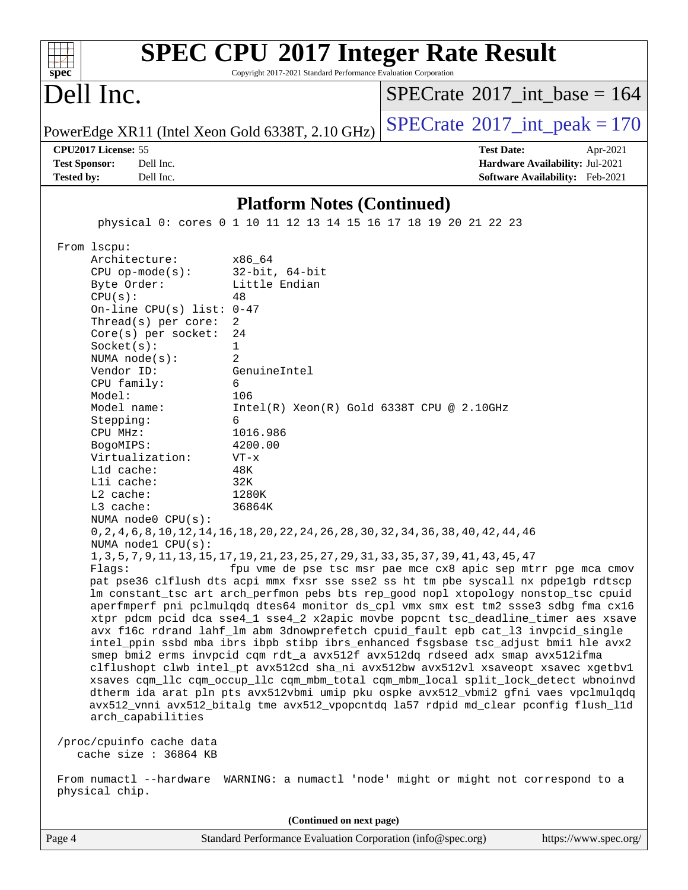| $spec^*$                                  |                                                                                                                                                                                                                                                                                                                                                                                                                                                                                                                                | Copyright 2017-2021 Standard Performance Evaluation Corporation                                                                                                                                                                | <b>SPEC CPU®2017 Integer Rate Result</b>                                                                                                                                                                                                                                                                                                                                                                                                                                                                                                                                                                                                                                                                                                                                                                                                                                                                                                                                                                                                                                                                                                                                                                                                                                                                                       |
|-------------------------------------------|--------------------------------------------------------------------------------------------------------------------------------------------------------------------------------------------------------------------------------------------------------------------------------------------------------------------------------------------------------------------------------------------------------------------------------------------------------------------------------------------------------------------------------|--------------------------------------------------------------------------------------------------------------------------------------------------------------------------------------------------------------------------------|--------------------------------------------------------------------------------------------------------------------------------------------------------------------------------------------------------------------------------------------------------------------------------------------------------------------------------------------------------------------------------------------------------------------------------------------------------------------------------------------------------------------------------------------------------------------------------------------------------------------------------------------------------------------------------------------------------------------------------------------------------------------------------------------------------------------------------------------------------------------------------------------------------------------------------------------------------------------------------------------------------------------------------------------------------------------------------------------------------------------------------------------------------------------------------------------------------------------------------------------------------------------------------------------------------------------------------|
|                                           | Dell Inc.                                                                                                                                                                                                                                                                                                                                                                                                                                                                                                                      |                                                                                                                                                                                                                                | $SPECrate^{\circledast}2017$ int base = 164                                                                                                                                                                                                                                                                                                                                                                                                                                                                                                                                                                                                                                                                                                                                                                                                                                                                                                                                                                                                                                                                                                                                                                                                                                                                                    |
|                                           |                                                                                                                                                                                                                                                                                                                                                                                                                                                                                                                                | PowerEdge XR11 (Intel Xeon Gold 6338T, 2.10 GHz)                                                                                                                                                                               | $SPECTate$ <sup>®</sup> 2017_int_peak = 170                                                                                                                                                                                                                                                                                                                                                                                                                                                                                                                                                                                                                                                                                                                                                                                                                                                                                                                                                                                                                                                                                                                                                                                                                                                                                    |
| <b>Test Sponsor:</b><br><b>Tested by:</b> | CPU2017 License: 55<br>Dell Inc.<br>Dell Inc.                                                                                                                                                                                                                                                                                                                                                                                                                                                                                  |                                                                                                                                                                                                                                | <b>Test Date:</b><br>Apr-2021<br>Hardware Availability: Jul-2021<br>Software Availability: Feb-2021                                                                                                                                                                                                                                                                                                                                                                                                                                                                                                                                                                                                                                                                                                                                                                                                                                                                                                                                                                                                                                                                                                                                                                                                                            |
|                                           |                                                                                                                                                                                                                                                                                                                                                                                                                                                                                                                                | <b>Platform Notes (Continued)</b>                                                                                                                                                                                              |                                                                                                                                                                                                                                                                                                                                                                                                                                                                                                                                                                                                                                                                                                                                                                                                                                                                                                                                                                                                                                                                                                                                                                                                                                                                                                                                |
|                                           |                                                                                                                                                                                                                                                                                                                                                                                                                                                                                                                                | physical 0: cores 0 1 10 11 12 13 14 15 16 17 18 19 20 21 22 23                                                                                                                                                                |                                                                                                                                                                                                                                                                                                                                                                                                                                                                                                                                                                                                                                                                                                                                                                                                                                                                                                                                                                                                                                                                                                                                                                                                                                                                                                                                |
|                                           |                                                                                                                                                                                                                                                                                                                                                                                                                                                                                                                                |                                                                                                                                                                                                                                |                                                                                                                                                                                                                                                                                                                                                                                                                                                                                                                                                                                                                                                                                                                                                                                                                                                                                                                                                                                                                                                                                                                                                                                                                                                                                                                                |
|                                           | From 1scpu:<br>Architecture:<br>$CPU$ op-mode( $s$ ):<br>Byte Order:<br>CPU(s):<br>On-line CPU(s) list: $0-47$<br>Thread(s) per core:<br>$Core(s)$ per socket:<br>Socket(s):<br>NUMA $node(s)$ :<br>Vendor ID:<br>CPU family:<br>Model:<br>Model name:<br>Stepping:<br>CPU MHz:<br>BogoMIPS:<br>Virtualization:<br>Lld cache:<br>Lli cache:<br>$L2$ cache:<br>L3 cache:<br>NUMA $node0$ $CPU(s)$ :<br>NUMA nodel CPU(s):<br>Flagg:<br>arch_capabilities<br>/proc/cpuinfo cache data<br>cache size : 36864 KB<br>physical chip. | x86 64<br>$32$ -bit, $64$ -bit<br>Little Endian<br>48<br>2<br>24<br>1<br>2<br>GenuineIntel<br>6<br>106<br>$Intel(R) Xeon(R) Gold 6338T CPU @ 2.10GHz$<br>6<br>1016.986<br>4200.00<br>$VT - x$<br>48K<br>32K<br>1280K<br>36864K | 0, 2, 4, 6, 8, 10, 12, 14, 16, 18, 20, 22, 24, 26, 28, 30, 32, 34, 36, 38, 40, 42, 44, 46<br>1, 3, 5, 7, 9, 11, 13, 15, 17, 19, 21, 23, 25, 27, 29, 31, 33, 35, 37, 39, 41, 43, 45, 47<br>fpu vme de pse tsc msr pae mce cx8 apic sep mtrr pge mca cmov<br>pat pse36 clflush dts acpi mmx fxsr sse sse2 ss ht tm pbe syscall nx pdpe1gb rdtscp<br>lm constant_tsc art arch_perfmon pebs bts rep_good nopl xtopology nonstop_tsc cpuid<br>aperfmperf pni pclmulqdq dtes64 monitor ds_cpl vmx smx est tm2 ssse3 sdbg fma cx16<br>xtpr pdcm pcid dca sse4_1 sse4_2 x2apic movbe popcnt tsc_deadline_timer aes xsave<br>avx f16c rdrand lahf_lm abm 3dnowprefetch cpuid_fault epb cat_13 invpcid_single<br>intel_ppin ssbd mba ibrs ibpb stibp ibrs_enhanced fsgsbase tsc_adjust bmil hle avx2<br>smep bmi2 erms invpcid cqm rdt_a avx512f avx512dq rdseed adx smap avx512ifma<br>clflushopt clwb intel_pt avx512cd sha_ni avx512bw avx512vl xsaveopt xsavec xgetbvl<br>xsaves cqm_llc cqm_occup_llc cqm_mbm_total cqm_mbm_local split_lock_detect wbnoinvd<br>dtherm ida arat pln pts avx512vbmi umip pku ospke avx512_vbmi2 gfni vaes vpclmulqdq<br>avx512_vnni avx512_bitalg tme avx512_vpopcntdq la57 rdpid md_clear pconfig flush_11d<br>From numactl --hardware WARNING: a numactl 'node' might or might not correspond to a |
|                                           |                                                                                                                                                                                                                                                                                                                                                                                                                                                                                                                                |                                                                                                                                                                                                                                |                                                                                                                                                                                                                                                                                                                                                                                                                                                                                                                                                                                                                                                                                                                                                                                                                                                                                                                                                                                                                                                                                                                                                                                                                                                                                                                                |
| Page 4                                    |                                                                                                                                                                                                                                                                                                                                                                                                                                                                                                                                | (Continued on next page)<br>Standard Performance Evaluation Corporation (info@spec.org)                                                                                                                                        | https://www.spec.org/                                                                                                                                                                                                                                                                                                                                                                                                                                                                                                                                                                                                                                                                                                                                                                                                                                                                                                                                                                                                                                                                                                                                                                                                                                                                                                          |
|                                           |                                                                                                                                                                                                                                                                                                                                                                                                                                                                                                                                |                                                                                                                                                                                                                                |                                                                                                                                                                                                                                                                                                                                                                                                                                                                                                                                                                                                                                                                                                                                                                                                                                                                                                                                                                                                                                                                                                                                                                                                                                                                                                                                |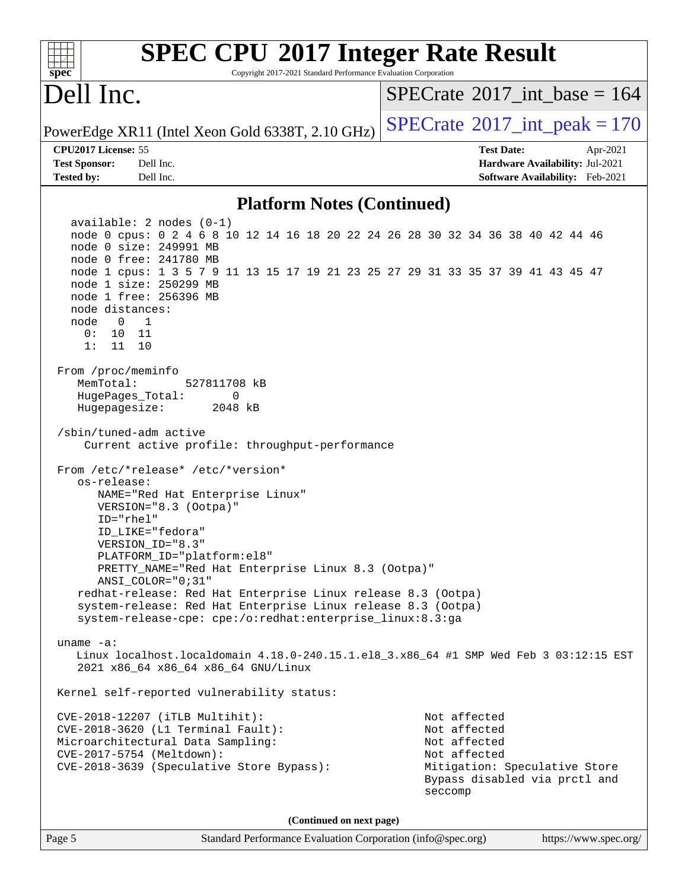| <b>SPEC CPU®2017 Integer Rate Result</b><br>Copyright 2017-2021 Standard Performance Evaluation Corporation<br>spec <sup>®</sup>                                                                                                                                                                                                                                                                                                                                           |                                                                                                                                           |
|----------------------------------------------------------------------------------------------------------------------------------------------------------------------------------------------------------------------------------------------------------------------------------------------------------------------------------------------------------------------------------------------------------------------------------------------------------------------------|-------------------------------------------------------------------------------------------------------------------------------------------|
| Dell Inc.                                                                                                                                                                                                                                                                                                                                                                                                                                                                  | $SPECrate^{\circledast}2017$ int base = 164                                                                                               |
| PowerEdge XR11 (Intel Xeon Gold 6338T, 2.10 GHz)                                                                                                                                                                                                                                                                                                                                                                                                                           | $SPECrate^{\circ}2017\_int\_peak = 170$                                                                                                   |
| CPU2017 License: 55<br>Dell Inc.<br><b>Test Sponsor:</b><br>Dell Inc.<br><b>Tested by:</b>                                                                                                                                                                                                                                                                                                                                                                                 | <b>Test Date:</b><br>Apr-2021<br>Hardware Availability: Jul-2021<br>Software Availability: Feb-2021                                       |
| <b>Platform Notes (Continued)</b>                                                                                                                                                                                                                                                                                                                                                                                                                                          |                                                                                                                                           |
| $available: 2 nodes (0-1)$<br>node 0 cpus: 0 2 4 6 8 10 12 14 16 18 20 22 24 26 28 30 32 34 36 38 40 42 44 46<br>node 0 size: 249991 MB<br>node 0 free: 241780 MB<br>node 1 cpus: 1 3 5 7 9 11 13 15 17 19 21 23 25 27 29 31 33 35 37 39 41 43 45 47<br>node 1 size: 250299 MB<br>node 1 free: 256396 MB<br>node distances:<br>node<br>1<br>0<br>0:<br>10<br>- 11<br>1:<br>11<br>10                                                                                        |                                                                                                                                           |
| From /proc/meminfo<br>MemTotal:<br>527811708 kB<br>HugePages_Total:<br>0<br>Hugepagesize:<br>2048 kB<br>/sbin/tuned-adm active<br>Current active profile: throughput-performance                                                                                                                                                                                                                                                                                           |                                                                                                                                           |
| From /etc/*release* /etc/*version*<br>os-release:<br>NAME="Red Hat Enterprise Linux"<br>VERSION="8.3 (Ootpa)"<br>$ID="rhe1"$<br>ID LIKE="fedora"<br>VERSION ID="8.3"<br>PLATFORM ID="platform:el8"<br>PRETTY_NAME="Red Hat Enterprise Linux 8.3 (Ootpa)"<br>ANSI_COLOR="0;31"<br>redhat-release: Red Hat Enterprise Linux release 8.3 (Ootpa)<br>system-release: Red Hat Enterprise Linux release 8.3 (Ootpa)<br>system-release-cpe: cpe:/o:redhat:enterprise_linux:8.3:ga |                                                                                                                                           |
| uname $-a$ :<br>Linux localhost.localdomain 4.18.0-240.15.1.el8_3.x86_64 #1 SMP Wed Feb 3 03:12:15 EST<br>2021 x86_64 x86_64 x86_64 GNU/Linux                                                                                                                                                                                                                                                                                                                              |                                                                                                                                           |
| Kernel self-reported vulnerability status:                                                                                                                                                                                                                                                                                                                                                                                                                                 |                                                                                                                                           |
| CVE-2018-12207 (iTLB Multihit):<br>CVE-2018-3620 (L1 Terminal Fault):<br>Microarchitectural Data Sampling:<br>CVE-2017-5754 (Meltdown):<br>CVE-2018-3639 (Speculative Store Bypass):                                                                                                                                                                                                                                                                                       | Not affected<br>Not affected<br>Not affected<br>Not affected<br>Mitigation: Speculative Store<br>Bypass disabled via prctl and<br>seccomp |
| (Continued on next page)                                                                                                                                                                                                                                                                                                                                                                                                                                                   |                                                                                                                                           |
| Page 5<br>Standard Performance Evaluation Corporation (info@spec.org)                                                                                                                                                                                                                                                                                                                                                                                                      | https://www.spec.org/                                                                                                                     |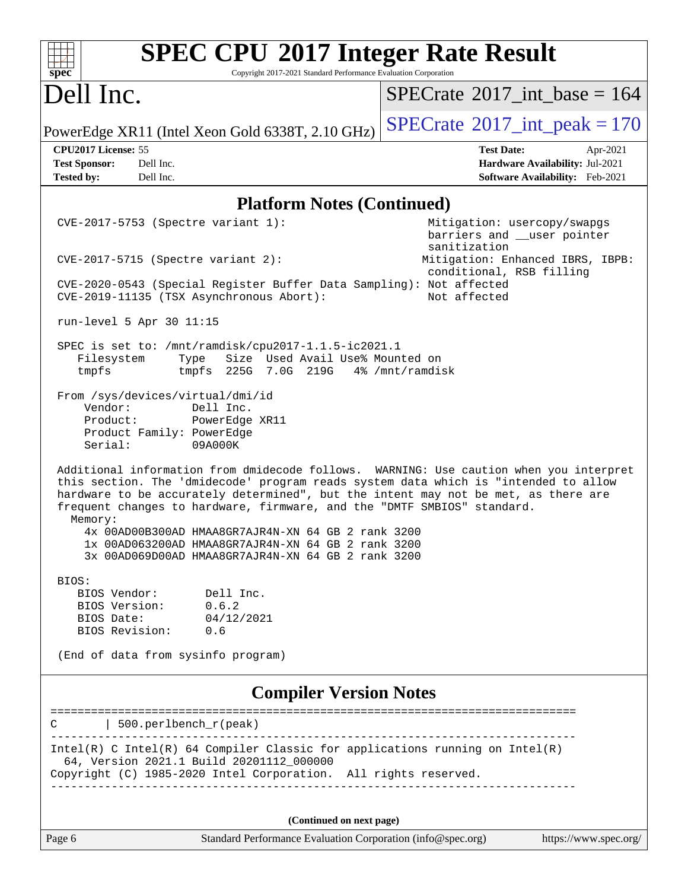| spec <sup>®</sup>                    | <b>SPEC CPU®2017 Integer Rate Result</b><br>Copyright 2017-2021 Standard Performance Evaluation Corporation                                                                                                                                                                                                                                                      |                                                                                        |
|--------------------------------------|------------------------------------------------------------------------------------------------------------------------------------------------------------------------------------------------------------------------------------------------------------------------------------------------------------------------------------------------------------------|----------------------------------------------------------------------------------------|
| Dell Inc.                            |                                                                                                                                                                                                                                                                                                                                                                  | $SPECrate^{\circledast}2017$ int base = 164                                            |
|                                      | PowerEdge XR11 (Intel Xeon Gold 6338T, 2.10 GHz)                                                                                                                                                                                                                                                                                                                 | $SPECTate$ <sup>®</sup> 2017_int_peak = 170                                            |
| CPU2017 License: 55                  |                                                                                                                                                                                                                                                                                                                                                                  | <b>Test Date:</b><br>Apr-2021                                                          |
| <b>Test Sponsor:</b>                 | Dell Inc.                                                                                                                                                                                                                                                                                                                                                        | Hardware Availability: Jul-2021                                                        |
| <b>Tested by:</b>                    | Dell Inc.                                                                                                                                                                                                                                                                                                                                                        | Software Availability: Feb-2021                                                        |
|                                      | <b>Platform Notes (Continued)</b>                                                                                                                                                                                                                                                                                                                                |                                                                                        |
|                                      | CVE-2017-5753 (Spectre variant 1):                                                                                                                                                                                                                                                                                                                               | Mitigation: usercopy/swapgs<br>barriers and __user pointer<br>sanitization             |
|                                      | $CVE-2017-5715$ (Spectre variant 2):                                                                                                                                                                                                                                                                                                                             | Mitigation: Enhanced IBRS, IBPB:<br>conditional, RSB filling                           |
|                                      | CVE-2020-0543 (Special Register Buffer Data Sampling): Not affected<br>CVE-2019-11135 (TSX Asynchronous Abort):                                                                                                                                                                                                                                                  | Not affected                                                                           |
|                                      | run-level 5 Apr 30 11:15                                                                                                                                                                                                                                                                                                                                         |                                                                                        |
| Filesystem<br>tmpfs                  | SPEC is set to: /mnt/ramdisk/cpu2017-1.1.5-ic2021.1<br>Size Used Avail Use% Mounted on<br>Type<br>tmpfs 225G 7.0G 219G 4% /mnt/ramdisk                                                                                                                                                                                                                           |                                                                                        |
| Vendor:<br>Product:<br>Serial:       | From /sys/devices/virtual/dmi/id<br>Dell Inc.<br>PowerEdge XR11<br>Product Family: PowerEdge<br>09A000K                                                                                                                                                                                                                                                          |                                                                                        |
| Memory:                              | this section. The 'dmidecode' program reads system data which is "intended to allow<br>hardware to be accurately determined", but the intent may not be met, as there are<br>frequent changes to hardware, firmware, and the "DMTF SMBIOS" standard.<br>4x 00AD00B300AD HMAA8GR7AJR4N-XN 64 GB 2 rank 3200<br>1x 00AD063200AD HMAA8GR7AJR4N-XN 64 GB 2 rank 3200 | Additional information from dmidecode follows. WARNING: Use caution when you interpret |
|                                      | 3x 00AD069D00AD HMAA8GR7AJR4N-XN 64 GB 2 rank 3200                                                                                                                                                                                                                                                                                                               |                                                                                        |
| BIOS:<br>BIOS Version:<br>BIOS Date: | Dell Inc.<br>BIOS Vendor:<br>0.6.2<br>04/12/2021                                                                                                                                                                                                                                                                                                                 |                                                                                        |
|                                      | BIOS Revision: 0.6                                                                                                                                                                                                                                                                                                                                               |                                                                                        |
|                                      | (End of data from sysinfo program)                                                                                                                                                                                                                                                                                                                               |                                                                                        |
|                                      | <b>Compiler Version Notes</b>                                                                                                                                                                                                                                                                                                                                    |                                                                                        |
|                                      | 500.perlbench_r(peak)                                                                                                                                                                                                                                                                                                                                            |                                                                                        |
|                                      | $Intel(R)$ C Intel(R) 64 Compiler Classic for applications running on Intel(R)<br>64, Version 2021.1 Build 20201112_000000<br>Copyright (C) 1985-2020 Intel Corporation. All rights reserved.                                                                                                                                                                    |                                                                                        |
|                                      |                                                                                                                                                                                                                                                                                                                                                                  |                                                                                        |
|                                      |                                                                                                                                                                                                                                                                                                                                                                  |                                                                                        |
|                                      | (Continued on next page)                                                                                                                                                                                                                                                                                                                                         |                                                                                        |
| Page 6                               | Standard Performance Evaluation Corporation (info@spec.org)                                                                                                                                                                                                                                                                                                      | https://www.spec.org/                                                                  |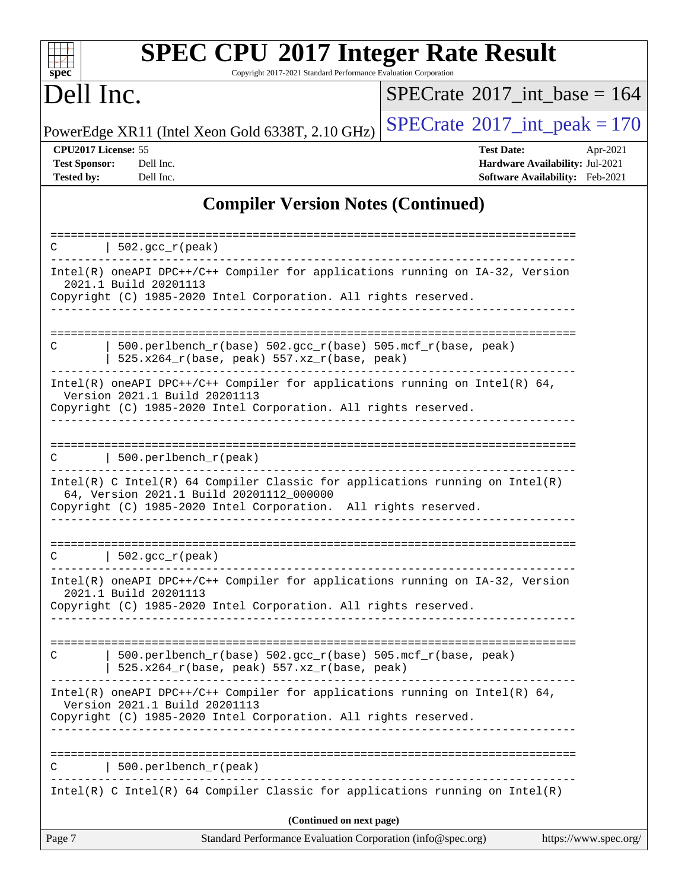| spec                                                             | <b>SPEC CPU®2017 Integer Rate Result</b><br>Copyright 2017-2021 Standard Performance Evaluation Corporation                                                                                                                |                                                                                         |                       |
|------------------------------------------------------------------|----------------------------------------------------------------------------------------------------------------------------------------------------------------------------------------------------------------------------|-----------------------------------------------------------------------------------------|-----------------------|
| Dell Inc.                                                        |                                                                                                                                                                                                                            | $SPECrate^{\circledast}2017$ int base = 164                                             |                       |
|                                                                  | PowerEdge XR11 (Intel Xeon Gold 6338T, 2.10 GHz)                                                                                                                                                                           | $SPECrate^{\circ}2017\_int\_peak = 170$                                                 |                       |
| CPU2017 License: 55<br><b>Test Sponsor:</b><br><b>Tested by:</b> | Dell Inc.<br>Dell Inc.                                                                                                                                                                                                     | <b>Test Date:</b><br>Hardware Availability: Jul-2021<br>Software Availability: Feb-2021 | Apr-2021              |
|                                                                  | <b>Compiler Version Notes (Continued)</b>                                                                                                                                                                                  |                                                                                         |                       |
| C                                                                | $502. \text{gcc\_r}(\text{peak})$                                                                                                                                                                                          |                                                                                         |                       |
|                                                                  | Intel(R) oneAPI DPC++/C++ Compiler for applications running on IA-32, Version<br>2021.1 Build 20201113<br>Copyright (C) 1985-2020 Intel Corporation. All rights reserved.                                                  |                                                                                         |                       |
| С                                                                | 500.perlbench_r(base) 502.gcc_r(base) 505.mcf_r(base, peak)<br>525.x264_r(base, peak) 557.xz_r(base, peak)                                                                                                                 |                                                                                         |                       |
|                                                                  | Intel(R) oneAPI DPC++/C++ Compiler for applications running on Intel(R) $64$ ,<br>Version 2021.1 Build 20201113<br>Copyright (C) 1985-2020 Intel Corporation. All rights reserved.                                         |                                                                                         |                       |
| C                                                                | 500.perlbench_r(peak)                                                                                                                                                                                                      |                                                                                         |                       |
|                                                                  | Intel(R) C Intel(R) 64 Compiler Classic for applications running on Intel(R)<br>64, Version 2021.1 Build 20201112_000000<br>Copyright (C) 1985-2020 Intel Corporation. All rights reserved.                                |                                                                                         |                       |
| C                                                                | $502.$ gcc_r(peak)                                                                                                                                                                                                         |                                                                                         |                       |
|                                                                  | Intel(R) oneAPI DPC++/C++ Compiler for applications running on IA-32, Version<br>2021.1 Build 20201113<br>Copyright (C) 1985-2020 Intel Corporation. All rights reserved.                                                  |                                                                                         |                       |
| C                                                                | 500.perlbench_r(base) 502.gcc_r(base) 505.mcf_r(base, peak)<br>525.x264_r(base, peak) 557.xz_r(base, peak)                                                                                                                 |                                                                                         |                       |
|                                                                  | Intel(R) oneAPI DPC++/C++ Compiler for applications running on Intel(R) $64$ ,<br>Version 2021.1 Build 20201113<br>Copyright (C) 1985-2020 Intel Corporation. All rights reserved.<br>____________________________________ |                                                                                         |                       |
| C                                                                | 500.perlbench_r(peak)<br>$Intel(R)$ C Intel(R) 64 Compiler Classic for applications running on Intel(R)                                                                                                                    |                                                                                         |                       |
|                                                                  | (Continued on next page)                                                                                                                                                                                                   |                                                                                         |                       |
| Page 7                                                           | Standard Performance Evaluation Corporation (info@spec.org)                                                                                                                                                                |                                                                                         | https://www.spec.org/ |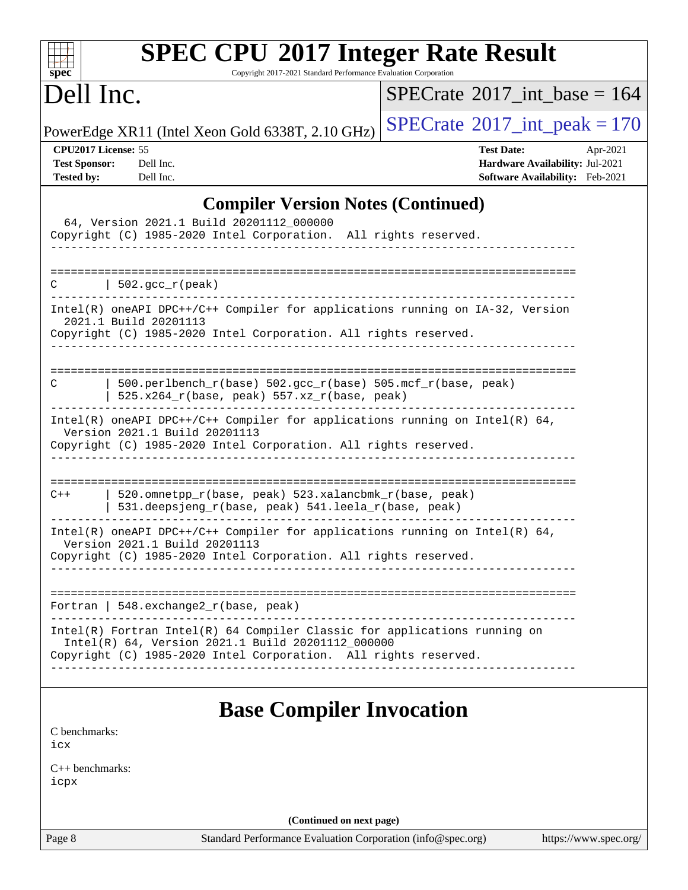| <b>SPEC CPU®2017 Integer Rate Result</b><br>Copyright 2017-2021 Standard Performance Evaluation Corporation<br>spec <sup>®</sup>                                                                  |                                                                                                     |
|---------------------------------------------------------------------------------------------------------------------------------------------------------------------------------------------------|-----------------------------------------------------------------------------------------------------|
| Dell Inc.                                                                                                                                                                                         | $SPECrate^{\circ}2017$ int base = 164                                                               |
| PowerEdge XR11 (Intel Xeon Gold 6338T, 2.10 GHz)                                                                                                                                                  | $SPECTate@2017_int\_peak = 170$                                                                     |
| CPU2017 License: 55<br><b>Test Sponsor:</b><br>Dell Inc.<br><b>Tested by:</b><br>Dell Inc.                                                                                                        | <b>Test Date:</b><br>Apr-2021<br>Hardware Availability: Jul-2021<br>Software Availability: Feb-2021 |
| <b>Compiler Version Notes (Continued)</b>                                                                                                                                                         |                                                                                                     |
| 64, Version 2021.1 Build 20201112_000000<br>Copyright (C) 1985-2020 Intel Corporation. All rights reserved.                                                                                       |                                                                                                     |
| C<br>$\vert$ 502.gcc_r(peak)                                                                                                                                                                      |                                                                                                     |
| Intel(R) oneAPI DPC++/C++ Compiler for applications running on IA-32, Version<br>2021.1 Build 20201113<br>Copyright (C) 1985-2020 Intel Corporation. All rights reserved.                         |                                                                                                     |
| 500.perlbench_r(base) 502.gcc_r(base) 505.mcf_r(base, peak)<br>C<br>$525.x264_r(base, peak) 557.xz_r(base, peak)$                                                                                 |                                                                                                     |
| Intel(R) oneAPI DPC++/C++ Compiler for applications running on Intel(R) $64$ ,<br>Version 2021.1 Build 20201113<br>Copyright (C) 1985-2020 Intel Corporation. All rights reserved.                |                                                                                                     |
| 520.omnetpp_r(base, peak) 523.xalancbmk_r(base, peak)<br>$C++$<br>531.deepsjeng_r(base, peak) 541.leela_r(base, peak)                                                                             |                                                                                                     |
| Intel(R) oneAPI DPC++/C++ Compiler for applications running on Intel(R) $64$ ,<br>Version 2021.1 Build 20201113<br>Copyright (C) 1985-2020 Intel Corporation. All rights reserved.                |                                                                                                     |
| Fortran   548. $exchange2_r(base, peak)$                                                                                                                                                          |                                                                                                     |
| Intel(R) Fortran Intel(R) 64 Compiler Classic for applications running on<br>Intel(R) 64, Version 2021.1 Build 20201112_000000<br>Copyright (C) 1985-2020 Intel Corporation. All rights reserved. |                                                                                                     |
| <b>Base Compiler Invocation</b>                                                                                                                                                                   |                                                                                                     |
| C benchmarks:<br>icx                                                                                                                                                                              |                                                                                                     |
| $C_{++}$ benchmarks:<br>icpx                                                                                                                                                                      |                                                                                                     |
| (Continued on next page)                                                                                                                                                                          |                                                                                                     |
| Page 8<br>Standard Performance Evaluation Corporation (info@spec.org)                                                                                                                             | https://www.spec.org/                                                                               |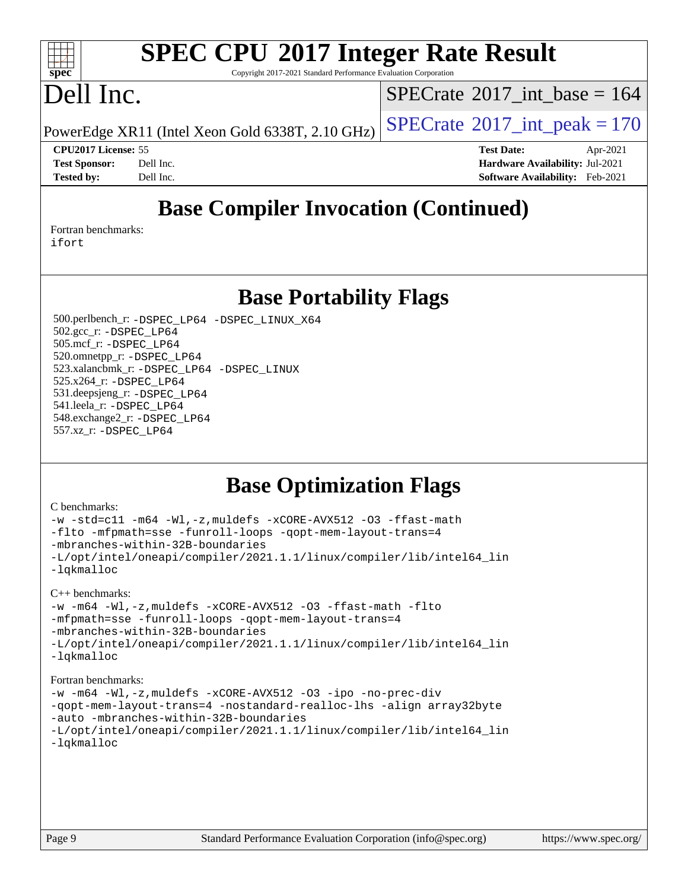### $\pm t$ **[spec](http://www.spec.org/)**

# **[SPEC CPU](http://www.spec.org/auto/cpu2017/Docs/result-fields.html#SPECCPU2017IntegerRateResult)[2017 Integer Rate Result](http://www.spec.org/auto/cpu2017/Docs/result-fields.html#SPECCPU2017IntegerRateResult)**

Copyright 2017-2021 Standard Performance Evaluation Corporation

## Dell Inc.

 $SPECTate$ <sup>®</sup>[2017\\_int\\_base =](http://www.spec.org/auto/cpu2017/Docs/result-fields.html#SPECrate2017intbase) 164

PowerEdge XR11 (Intel Xeon Gold 6338T, 2.10 GHz)  $\left|$  [SPECrate](http://www.spec.org/auto/cpu2017/Docs/result-fields.html#SPECrate2017intpeak)<sup>®</sup>[2017\\_int\\_peak = 1](http://www.spec.org/auto/cpu2017/Docs/result-fields.html#SPECrate2017intpeak)70

**[CPU2017 License:](http://www.spec.org/auto/cpu2017/Docs/result-fields.html#CPU2017License)** 55 **[Test Date:](http://www.spec.org/auto/cpu2017/Docs/result-fields.html#TestDate)** Apr-2021 **[Test Sponsor:](http://www.spec.org/auto/cpu2017/Docs/result-fields.html#TestSponsor)** Dell Inc. **[Hardware Availability:](http://www.spec.org/auto/cpu2017/Docs/result-fields.html#HardwareAvailability)** Jul-2021 **[Tested by:](http://www.spec.org/auto/cpu2017/Docs/result-fields.html#Testedby)** Dell Inc. **[Software Availability:](http://www.spec.org/auto/cpu2017/Docs/result-fields.html#SoftwareAvailability)** Feb-2021

## **[Base Compiler Invocation \(Continued\)](http://www.spec.org/auto/cpu2017/Docs/result-fields.html#BaseCompilerInvocation)**

[Fortran benchmarks](http://www.spec.org/auto/cpu2017/Docs/result-fields.html#Fortranbenchmarks): [ifort](http://www.spec.org/cpu2017/results/res2021q3/cpu2017-20210618-27435.flags.html#user_FCbase_intel_ifort_8111460550e3ca792625aed983ce982f94888b8b503583aa7ba2b8303487b4d8a21a13e7191a45c5fd58ff318f48f9492884d4413fa793fd88dd292cad7027ca)

**[Base Portability Flags](http://www.spec.org/auto/cpu2017/Docs/result-fields.html#BasePortabilityFlags)**

 500.perlbench\_r: [-DSPEC\\_LP64](http://www.spec.org/cpu2017/results/res2021q3/cpu2017-20210618-27435.flags.html#b500.perlbench_r_basePORTABILITY_DSPEC_LP64) [-DSPEC\\_LINUX\\_X64](http://www.spec.org/cpu2017/results/res2021q3/cpu2017-20210618-27435.flags.html#b500.perlbench_r_baseCPORTABILITY_DSPEC_LINUX_X64) 502.gcc\_r: [-DSPEC\\_LP64](http://www.spec.org/cpu2017/results/res2021q3/cpu2017-20210618-27435.flags.html#suite_basePORTABILITY502_gcc_r_DSPEC_LP64) 505.mcf\_r: [-DSPEC\\_LP64](http://www.spec.org/cpu2017/results/res2021q3/cpu2017-20210618-27435.flags.html#suite_basePORTABILITY505_mcf_r_DSPEC_LP64) 520.omnetpp\_r: [-DSPEC\\_LP64](http://www.spec.org/cpu2017/results/res2021q3/cpu2017-20210618-27435.flags.html#suite_basePORTABILITY520_omnetpp_r_DSPEC_LP64) 523.xalancbmk\_r: [-DSPEC\\_LP64](http://www.spec.org/cpu2017/results/res2021q3/cpu2017-20210618-27435.flags.html#suite_basePORTABILITY523_xalancbmk_r_DSPEC_LP64) [-DSPEC\\_LINUX](http://www.spec.org/cpu2017/results/res2021q3/cpu2017-20210618-27435.flags.html#b523.xalancbmk_r_baseCXXPORTABILITY_DSPEC_LINUX) 525.x264\_r: [-DSPEC\\_LP64](http://www.spec.org/cpu2017/results/res2021q3/cpu2017-20210618-27435.flags.html#suite_basePORTABILITY525_x264_r_DSPEC_LP64) 531.deepsjeng\_r: [-DSPEC\\_LP64](http://www.spec.org/cpu2017/results/res2021q3/cpu2017-20210618-27435.flags.html#suite_basePORTABILITY531_deepsjeng_r_DSPEC_LP64) 541.leela\_r: [-DSPEC\\_LP64](http://www.spec.org/cpu2017/results/res2021q3/cpu2017-20210618-27435.flags.html#suite_basePORTABILITY541_leela_r_DSPEC_LP64) 548.exchange2\_r: [-DSPEC\\_LP64](http://www.spec.org/cpu2017/results/res2021q3/cpu2017-20210618-27435.flags.html#suite_basePORTABILITY548_exchange2_r_DSPEC_LP64) 557.xz\_r: [-DSPEC\\_LP64](http://www.spec.org/cpu2017/results/res2021q3/cpu2017-20210618-27435.flags.html#suite_basePORTABILITY557_xz_r_DSPEC_LP64)

### **[Base Optimization Flags](http://www.spec.org/auto/cpu2017/Docs/result-fields.html#BaseOptimizationFlags)**

### [C benchmarks](http://www.spec.org/auto/cpu2017/Docs/result-fields.html#Cbenchmarks):

```
-w -std=c11 -m64 -Wl,-z,muldefs -xCORE-AVX512 -O3 -ffast-math
-flto -mfpmath=sse -funroll-loops -qopt-mem-layout-trans=4
-mbranches-within-32B-boundaries
-L/opt/intel/oneapi/compiler/2021.1.1/linux/compiler/lib/intel64_lin
-lqkmalloc
C++ benchmarks: 
-w -m64 -Wl,-z,muldefs -xCORE-AVX512 -O3 -ffast-math -flto
-mfpmath=sse -funroll-loops -qopt-mem-layout-trans=4
-mbranches-within-32B-boundaries
-L/opt/intel/oneapi/compiler/2021.1.1/linux/compiler/lib/intel64_lin
-lqkmalloc
Fortran benchmarks: 
-w -m64 -Wl,-z,muldefs -xCORE-AVX512 -O3 -ipo -no-prec-div
```

```
-qopt-mem-layout-trans=4 -nostandard-realloc-lhs -align array32byte
-auto -mbranches-within-32B-boundaries
-L/opt/intel/oneapi/compiler/2021.1.1/linux/compiler/lib/intel64_lin
-lqkmalloc
```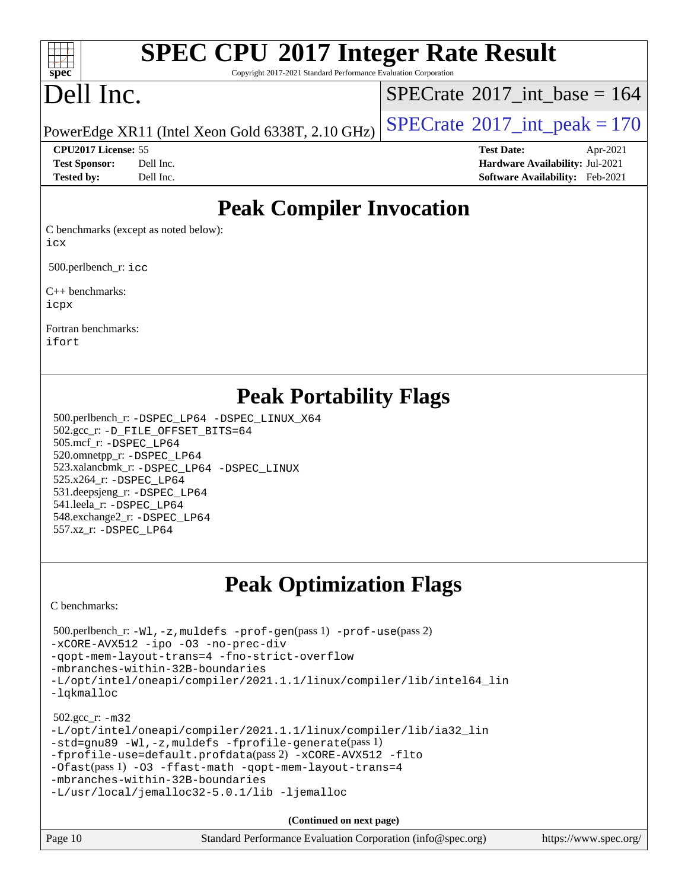### $+\ +$ **[spec](http://www.spec.org/)**

# **[SPEC CPU](http://www.spec.org/auto/cpu2017/Docs/result-fields.html#SPECCPU2017IntegerRateResult)[2017 Integer Rate Result](http://www.spec.org/auto/cpu2017/Docs/result-fields.html#SPECCPU2017IntegerRateResult)**

Copyright 2017-2021 Standard Performance Evaluation Corporation

# Dell Inc.

 $SPECTate$ <sup>®</sup>[2017\\_int\\_base =](http://www.spec.org/auto/cpu2017/Docs/result-fields.html#SPECrate2017intbase) 164

PowerEdge XR11 (Intel Xeon Gold 6338T, 2.10 GHz)  $\left|$  [SPECrate](http://www.spec.org/auto/cpu2017/Docs/result-fields.html#SPECrate2017intpeak)<sup>®</sup>[2017\\_int\\_peak = 1](http://www.spec.org/auto/cpu2017/Docs/result-fields.html#SPECrate2017intpeak)70

**[CPU2017 License:](http://www.spec.org/auto/cpu2017/Docs/result-fields.html#CPU2017License)** 55 **[Test Date:](http://www.spec.org/auto/cpu2017/Docs/result-fields.html#TestDate)** Apr-2021 **[Test Sponsor:](http://www.spec.org/auto/cpu2017/Docs/result-fields.html#TestSponsor)** Dell Inc. **[Hardware Availability:](http://www.spec.org/auto/cpu2017/Docs/result-fields.html#HardwareAvailability)** Jul-2021 **[Tested by:](http://www.spec.org/auto/cpu2017/Docs/result-fields.html#Testedby)** Dell Inc. **[Software Availability:](http://www.spec.org/auto/cpu2017/Docs/result-fields.html#SoftwareAvailability)** Feb-2021

### **[Peak Compiler Invocation](http://www.spec.org/auto/cpu2017/Docs/result-fields.html#PeakCompilerInvocation)**

[C benchmarks \(except as noted below\)](http://www.spec.org/auto/cpu2017/Docs/result-fields.html#Cbenchmarksexceptasnotedbelow): [icx](http://www.spec.org/cpu2017/results/res2021q3/cpu2017-20210618-27435.flags.html#user_CCpeak_intel_icx_fe2d28d19ae2a5db7c42fe0f2a2aed77cb715edd4aeb23434404a8be6683fe239869bb6ca8154ca98265c2e3b9226a719a0efe2953a4a7018c379b7010ccf087)

500.perlbench r: [icc](http://www.spec.org/cpu2017/results/res2021q3/cpu2017-20210618-27435.flags.html#user_peakCCLD500_perlbench_r_intel_icc_66fc1ee009f7361af1fbd72ca7dcefbb700085f36577c54f309893dd4ec40d12360134090235512931783d35fd58c0460139e722d5067c5574d8eaf2b3e37e92)

[C++ benchmarks:](http://www.spec.org/auto/cpu2017/Docs/result-fields.html#CXXbenchmarks) [icpx](http://www.spec.org/cpu2017/results/res2021q3/cpu2017-20210618-27435.flags.html#user_CXXpeak_intel_icpx_1e918ed14c436bf4b9b7c8bcdd51d4539fc71b3df010bd1e9f8732d9c34c2b2914e48204a846820f3c0ebb4095dea797a5c30b458ac0b6dffac65d78f781f5ca)

[Fortran benchmarks](http://www.spec.org/auto/cpu2017/Docs/result-fields.html#Fortranbenchmarks): [ifort](http://www.spec.org/cpu2017/results/res2021q3/cpu2017-20210618-27435.flags.html#user_FCpeak_intel_ifort_8111460550e3ca792625aed983ce982f94888b8b503583aa7ba2b8303487b4d8a21a13e7191a45c5fd58ff318f48f9492884d4413fa793fd88dd292cad7027ca)

### **[Peak Portability Flags](http://www.spec.org/auto/cpu2017/Docs/result-fields.html#PeakPortabilityFlags)**

 500.perlbench\_r: [-DSPEC\\_LP64](http://www.spec.org/cpu2017/results/res2021q3/cpu2017-20210618-27435.flags.html#b500.perlbench_r_peakPORTABILITY_DSPEC_LP64) [-DSPEC\\_LINUX\\_X64](http://www.spec.org/cpu2017/results/res2021q3/cpu2017-20210618-27435.flags.html#b500.perlbench_r_peakCPORTABILITY_DSPEC_LINUX_X64) 502.gcc\_r: [-D\\_FILE\\_OFFSET\\_BITS=64](http://www.spec.org/cpu2017/results/res2021q3/cpu2017-20210618-27435.flags.html#user_peakPORTABILITY502_gcc_r_file_offset_bits_64_5ae949a99b284ddf4e95728d47cb0843d81b2eb0e18bdfe74bbf0f61d0b064f4bda2f10ea5eb90e1dcab0e84dbc592acfc5018bc955c18609f94ddb8d550002c) 505.mcf\_r: [-DSPEC\\_LP64](http://www.spec.org/cpu2017/results/res2021q3/cpu2017-20210618-27435.flags.html#suite_peakPORTABILITY505_mcf_r_DSPEC_LP64) 520.omnetpp\_r: [-DSPEC\\_LP64](http://www.spec.org/cpu2017/results/res2021q3/cpu2017-20210618-27435.flags.html#suite_peakPORTABILITY520_omnetpp_r_DSPEC_LP64) 523.xalancbmk\_r: [-DSPEC\\_LP64](http://www.spec.org/cpu2017/results/res2021q3/cpu2017-20210618-27435.flags.html#suite_peakPORTABILITY523_xalancbmk_r_DSPEC_LP64) [-DSPEC\\_LINUX](http://www.spec.org/cpu2017/results/res2021q3/cpu2017-20210618-27435.flags.html#b523.xalancbmk_r_peakCXXPORTABILITY_DSPEC_LINUX) 525.x264\_r: [-DSPEC\\_LP64](http://www.spec.org/cpu2017/results/res2021q3/cpu2017-20210618-27435.flags.html#suite_peakPORTABILITY525_x264_r_DSPEC_LP64) 531.deepsjeng\_r: [-DSPEC\\_LP64](http://www.spec.org/cpu2017/results/res2021q3/cpu2017-20210618-27435.flags.html#suite_peakPORTABILITY531_deepsjeng_r_DSPEC_LP64) 541.leela\_r: [-DSPEC\\_LP64](http://www.spec.org/cpu2017/results/res2021q3/cpu2017-20210618-27435.flags.html#suite_peakPORTABILITY541_leela_r_DSPEC_LP64) 548.exchange2\_r: [-DSPEC\\_LP64](http://www.spec.org/cpu2017/results/res2021q3/cpu2017-20210618-27435.flags.html#suite_peakPORTABILITY548_exchange2_r_DSPEC_LP64) 557.xz\_r: [-DSPEC\\_LP64](http://www.spec.org/cpu2017/results/res2021q3/cpu2017-20210618-27435.flags.html#suite_peakPORTABILITY557_xz_r_DSPEC_LP64)

## **[Peak Optimization Flags](http://www.spec.org/auto/cpu2017/Docs/result-fields.html#PeakOptimizationFlags)**

[C benchmarks](http://www.spec.org/auto/cpu2017/Docs/result-fields.html#Cbenchmarks):

```
 500.perlbench_r: -Wl,-z,muldefs -prof-gen(pass 1) -prof-use(pass 2)
-xCORE-AVX512 -ipo -O3 -no-prec-div
-qopt-mem-layout-trans=4 -fno-strict-overflow
-mbranches-within-32B-boundaries
-L/opt/intel/oneapi/compiler/2021.1.1/linux/compiler/lib/intel64_lin
-lqkmalloc
 502.gcc_r: -m32
-L/opt/intel/oneapi/compiler/2021.1.1/linux/compiler/lib/ia32_lin
-std=gnu89 -Wl,-z,muldefs -fprofile-generate(pass 1)
-fprofile-use=default.profdata(pass 2) -xCORE-AVX512 -flto
-Ofast(pass 1) -O3 -ffast-math -qopt-mem-layout-trans=4
-mbranches-within-32B-boundaries
-L/usr/local/jemalloc32-5.0.1/lib -ljemalloc
```
**(Continued on next page)**

| Standard Performance Evaluation Corporation (info@spec.org)<br>Page 10<br>https://www.spec.org/ |
|-------------------------------------------------------------------------------------------------|
|-------------------------------------------------------------------------------------------------|